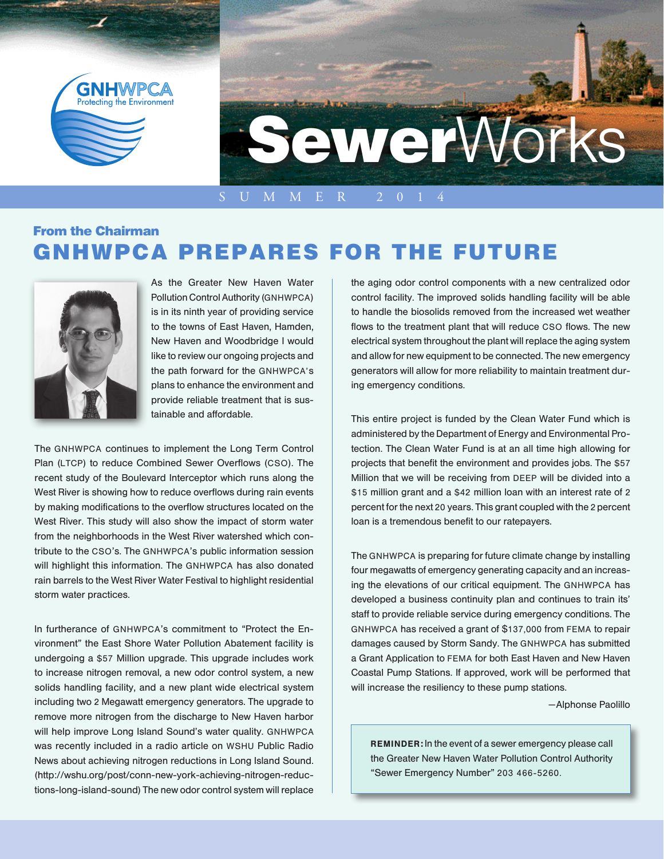

## From the Chairman GNHWPCA PREPARES FOR THE FUTURE



As the Greater New Haven Water Pollution Control Authority (GNHWPCA) is in its ninth year of providing service to the towns of East Haven, Hamden, New Haven and Woodbridge I would like to review our ongoing projects and the path forward for the GNHWPCA's plans to enhance the environment and provide reliable treatment that is sustainable and affordable.

The GNHWPCA continues to implement the Long Term Control Plan (LTCP) to reduce Combined Sewer Overflows (CSO). The recent study of the Boulevard Interceptor which runs along the West River is showing how to reduce overflows during rain events by making modifications to the overflow structures located on the West River. This study will also show the impact of storm water from the neighborhoods in the West River watershed which contribute to the CSO's. The GNHWPCA's public information session will highlight this information. The GNHWPCA has also donated rain barrels to the West River Water Festival to highlight residential storm water practices.

In furtherance of GNHWPCA's commitment to "Protect the Environment" the East Shore Water Pollution Abatement facility is undergoing a \$57 Million upgrade. This upgrade includes work to increase nitrogen removal, a new odor control system, a new solids handling facility, and a new plant wide electrical system including two 2 Megawatt emergency generators. The upgrade to remove more nitrogen from the discharge to New Haven harbor will help improve Long Island Sound's water quality. GNHWPCA was recently included in a radio article on WSHU Public Radio News about achieving nitrogen reductions in Long Island Sound. (http://wshu.org/post/conn-new-york-achieving-nitrogen-reductions-long-island-sound) The new odor control system will replace

the aging odor control components with a new centralized odor control facility. The improved solids handling facility will be able to handle the biosolids removed from the increased wet weather flows to the treatment plant that will reduce CSO flows. The new electrical system throughout the plant will replace the aging system and allow for new equipment to be connected. The new emergency generators will allow for more reliability to maintain treatment during emergency conditions.

This entire project is funded by the Clean Water Fund which is administered by the Department of Energy and Environmental Protection. The Clean Water Fund is at an all time high allowing for projects that benefit the environment and provides jobs. The \$57 Million that we will be receiving from DEEP will be divided into a \$15 million grant and a \$42 million loan with an interest rate of 2 percent for the next 20 years. This grant coupled with the 2 percent loan is a tremendous benefit to our ratepayers.

The GNHWPCA is preparing for future climate change by installing four megawatts of emergency generating capacity and an increasing the elevations of our critical equipment. The GNHWPCA has developed a business continuity plan and continues to train its' staff to provide reliable service during emergency conditions. The GNHWPCA has received a grant of \$137,000 from FEMA to repair damages caused by Storm Sandy. The GNHWPCA has submitted a Grant Application to FEMA for both East Haven and New Haven Coastal Pump Stations. If approved, work will be performed that will increase the resiliency to these pump stations.

—Alphonse Paolillo

REMINDER: In the event of a sewer emergency please call the Greater New Haven Water Pollution Control Authority "Sewer Emergency Number" 203 466-5260.